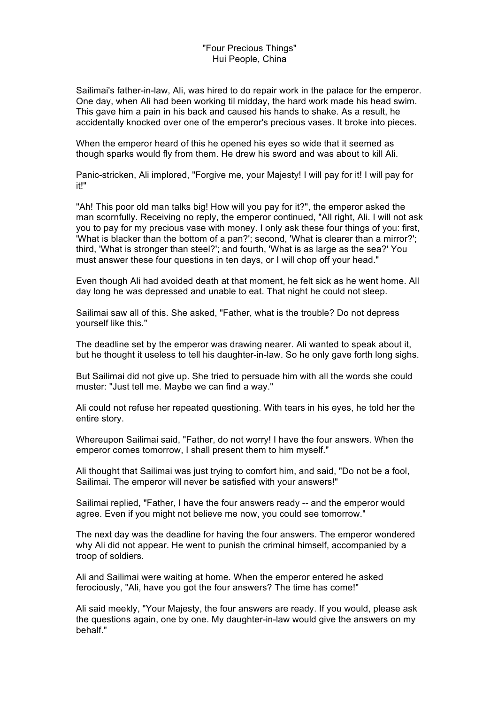## "Four Precious Things" Hui People, China

Sailimai's father-in-law, Ali, was hired to do repair work in the palace for the emperor. One day, when Ali had been working til midday, the hard work made his head swim. This gave him a pain in his back and caused his hands to shake. As a result, he accidentally knocked over one of the emperor's precious vases. It broke into pieces.

When the emperor heard of this he opened his eyes so wide that it seemed as though sparks would fly from them. He drew his sword and was about to kill Ali.

Panic-stricken, Ali implored, "Forgive me, your Majesty! I will pay for it! I will pay for it!"

"Ah! This poor old man talks big! How will you pay for it?", the emperor asked the man scornfully. Receiving no reply, the emperor continued, "All right, Ali. I will not ask you to pay for my precious vase with money. I only ask these four things of you: first, 'What is blacker than the bottom of a pan?'; second, 'What is clearer than a mirror?'; third, 'What is stronger than steel?'; and fourth, 'What is as large as the sea?' You must answer these four questions in ten days, or I will chop off your head."

Even though Ali had avoided death at that moment, he felt sick as he went home. All day long he was depressed and unable to eat. That night he could not sleep.

Sailimai saw all of this. She asked, "Father, what is the trouble? Do not depress yourself like this."

The deadline set by the emperor was drawing nearer. Ali wanted to speak about it, but he thought it useless to tell his daughter-in-law. So he only gave forth long sighs.

But Sailimai did not give up. She tried to persuade him with all the words she could muster: "Just tell me. Maybe we can find a way."

Ali could not refuse her repeated questioning. With tears in his eyes, he told her the entire story.

Whereupon Sailimai said, "Father, do not worry! I have the four answers. When the emperor comes tomorrow, I shall present them to him myself."

Ali thought that Sailimai was just trying to comfort him, and said, "Do not be a fool, Sailimai. The emperor will never be satisfied with your answers!"

Sailimai replied, "Father, I have the four answers ready -- and the emperor would agree. Even if you might not believe me now, you could see tomorrow."

The next day was the deadline for having the four answers. The emperor wondered why Ali did not appear. He went to punish the criminal himself, accompanied by a troop of soldiers.

Ali and Sailimai were waiting at home. When the emperor entered he asked ferociously, "Ali, have you got the four answers? The time has come!"

Ali said meekly, "Your Majesty, the four answers are ready. If you would, please ask the questions again, one by one. My daughter-in-law would give the answers on my behalf."